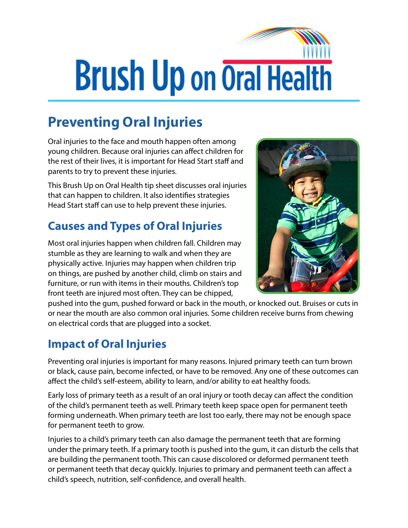# **Brush Up on Oral Health**

## **Preventing Oral Injuries**

Oral injuries to the face and mouth happen often among young children. Because oral injuries can affect children for the rest of their lives, it is important for Head Start staff and parents to try to prevent these injuries.

This Brush Up on Oral Health tip sheet discusses oral injuries that can happen to children. It also identifies strategies Head Start staff can use to help prevent these injuries.

### **Causes and Types of Oral Injuries**

Most oral injuries happen when children fall. Children may stumble as they are learning to walk and when they are physically active. Injuries may happen when children trip on things, are pushed by another child, climb on stairs and furniture, or run with items in their mouths. Children's top front teeth are injured most often. They can be chipped,



pushed into the gum, pushed forward or back in the mouth, or knocked out. Bruises or cuts in or near the mouth are also common oral injuries. Some children receive burns from chewing on electrical cords that are plugged into a socket.

#### **Impact of Oral Injuries**

Preventing oral injuries is important for many reasons. Injured primary teeth can turn brown or black, cause pain, become infected, or have to be removed. Any one of these outcomes can affect the child's self-esteem, ability to learn, and/or ability to eat healthy foods.

Early loss of primary teeth as a result of an oral injury or tooth decay can affect the condition of the child's permanent teeth as well. Primary teeth keep space open for permanent teeth forming underneath. When primary teeth are lost too early, there may not be enough space for permanent teeth to grow.

Injuries to a child's primary teeth can also damage the permanent teeth that are forming under the primary teeth. If a primary tooth is pushed into the gum, it can disturb the cells that are building the permanent tooth. This can cause discolored or deformed permanent teeth or permanent teeth that decay quickly. Injuries to primary and permanent teeth can affect a child's speech, nutrition, self-confidence, and overall health.